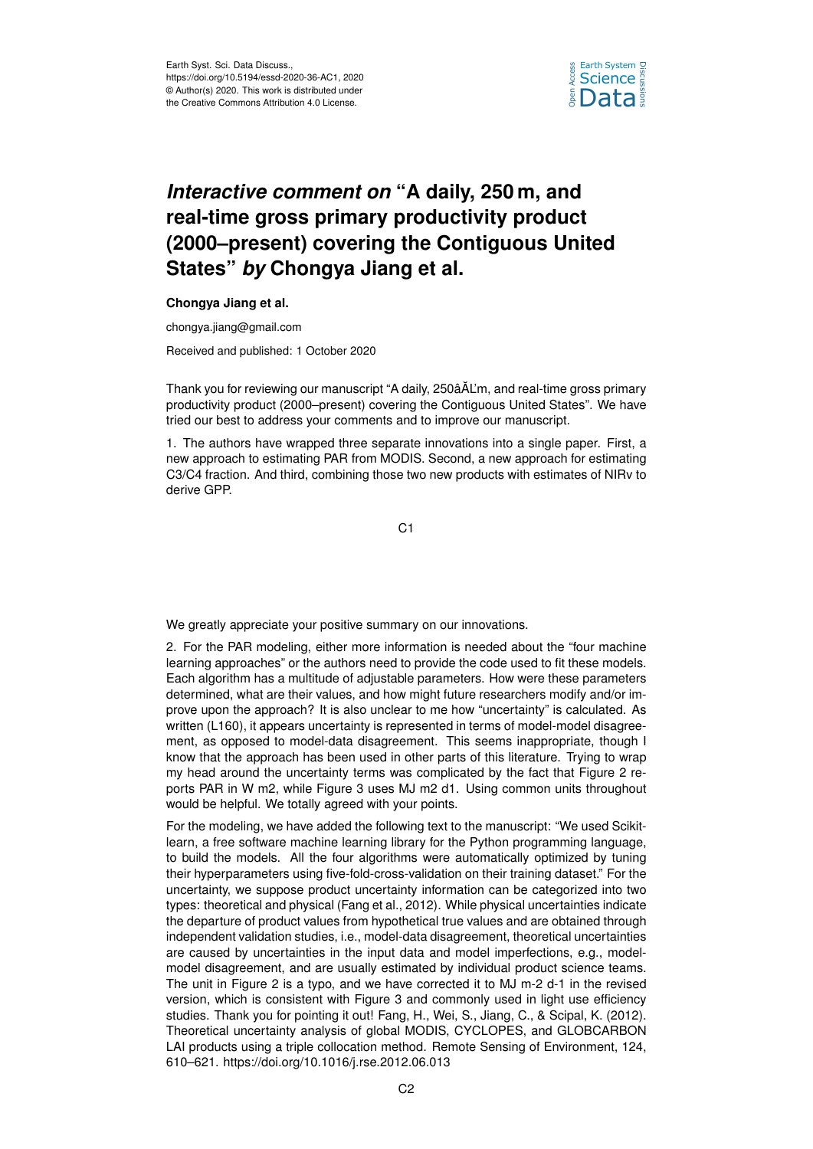

## *Interactive comment on* **"A daily, 250 m, and real-time gross primary productivity product (2000–present) covering the Contiguous United States"** *by* **Chongya Jiang et al.**

## **Chongya Jiang et al.**

chongya.jiang@gmail.com

Received and published: 1 October 2020

Thank you for reviewing our manuscript "A daily, 250âAL'm, and real-time gross primary ˘ productivity product (2000–present) covering the Contiguous United States". We have tried our best to address your comments and to improve our manuscript.

1. The authors have wrapped three separate innovations into a single paper. First, a new approach to estimating PAR from MODIS. Second, a new approach for estimating C3/C4 fraction. And third, combining those two new products with estimates of NIRv to derive GPP.

C1

We greatly appreciate your positive summary on our innovations.

2. For the PAR modeling, either more information is needed about the "four machine learning approaches" or the authors need to provide the code used to fit these models. Each algorithm has a multitude of adjustable parameters. How were these parameters determined, what are their values, and how might future researchers modify and/or improve upon the approach? It is also unclear to me how "uncertainty" is calculated. As written (L160), it appears uncertainty is represented in terms of model-model disagreement, as opposed to model-data disagreement. This seems inappropriate, though I know that the approach has been used in other parts of this literature. Trying to wrap my head around the uncertainty terms was complicated by the fact that Figure 2 reports PAR in W m2, while Figure 3 uses MJ m2 d1. Using common units throughout would be helpful. We totally agreed with your points.

For the modeling, we have added the following text to the manuscript: "We used Scikitlearn, a free software machine learning library for the Python programming language, to build the models. All the four algorithms were automatically optimized by tuning their hyperparameters using five-fold-cross-validation on their training dataset." For the uncertainty, we suppose product uncertainty information can be categorized into two types: theoretical and physical (Fang et al., 2012). While physical uncertainties indicate the departure of product values from hypothetical true values and are obtained through independent validation studies, i.e., model-data disagreement, theoretical uncertainties are caused by uncertainties in the input data and model imperfections, e.g., modelmodel disagreement, and are usually estimated by individual product science teams. The unit in Figure 2 is a typo, and we have corrected it to MJ m-2 d-1 in the revised version, which is consistent with Figure 3 and commonly used in light use efficiency studies. Thank you for pointing it out! Fang, H., Wei, S., Jiang, C., & Scipal, K. (2012). Theoretical uncertainty analysis of global MODIS, CYCLOPES, and GLOBCARBON LAI products using a triple collocation method. Remote Sensing of Environment, 124, 610–621. https://doi.org/10.1016/j.rse.2012.06.013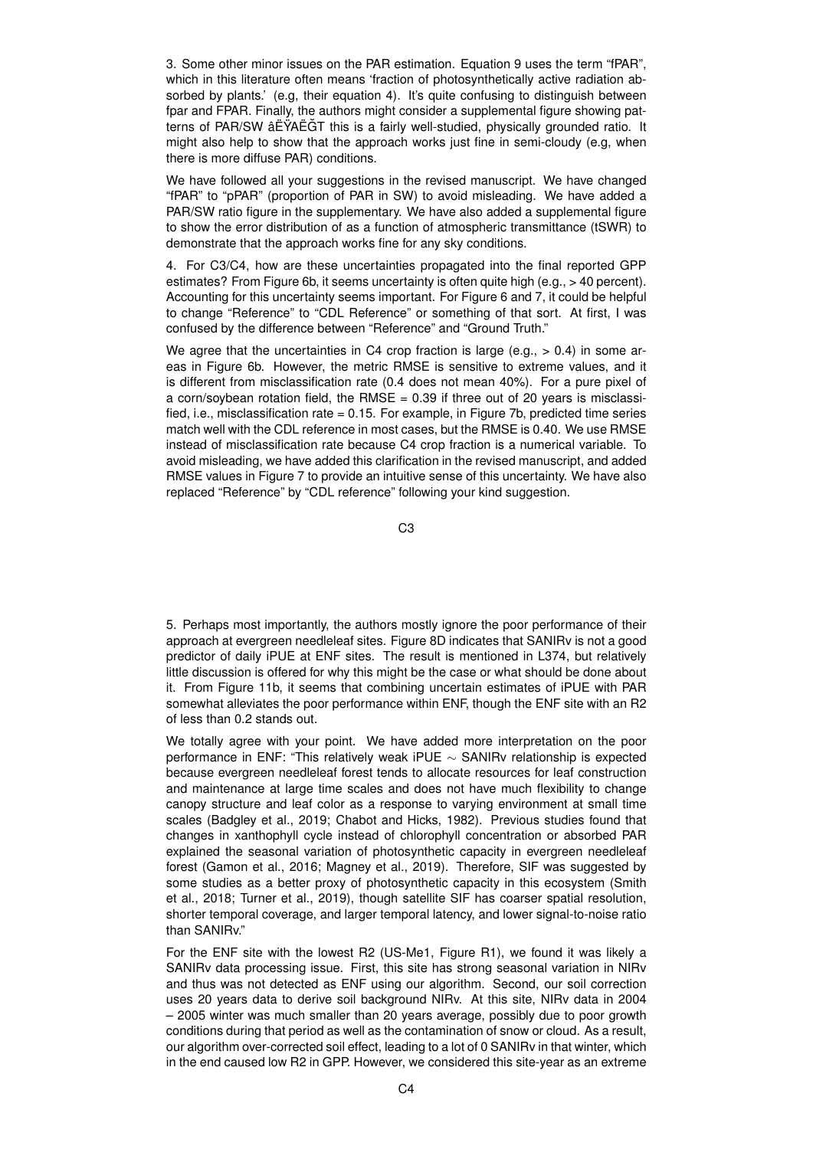3. Some other minor issues on the PAR estimation. Equation 9 uses the term "fPAR", which in this literature often means 'fraction of photosynthetically active radiation absorbed by plants.' (e.g, their equation 4). It's quite confusing to distinguish between fpar and FPAR. Finally, the authors might consider a supplemental figure showing patterns of PAR/SW âËŸAËĞT this is a fairly well-studied, physically grounded ratio. It might also help to show that the approach works just fine in semi-cloudy (e.g, when there is more diffuse PAR) conditions.

We have followed all your suggestions in the revised manuscript. We have changed "fPAR" to "pPAR" (proportion of PAR in SW) to avoid misleading. We have added a PAR/SW ratio figure in the supplementary. We have also added a supplemental figure to show the error distribution of as a function of atmospheric transmittance (tSWR) to demonstrate that the approach works fine for any sky conditions.

4. For C3/C4, how are these uncertainties propagated into the final reported GPP estimates? From Figure 6b, it seems uncertainty is often quite high (e.g., > 40 percent). Accounting for this uncertainty seems important. For Figure 6 and 7, it could be helpful to change "Reference" to "CDL Reference" or something of that sort. At first, I was confused by the difference between "Reference" and "Ground Truth."

We agree that the uncertainties in C4 crop fraction is large (e.g., > 0.4) in some areas in Figure 6b. However, the metric RMSE is sensitive to extreme values, and it is different from misclassification rate (0.4 does not mean 40%). For a pure pixel of a corn/soybean rotation field, the RMSE  $= 0.39$  if three out of 20 years is misclassified, i.e., misclassification rate = 0.15. For example, in Figure 7b, predicted time series match well with the CDL reference in most cases, but the RMSE is 0.40. We use RMSE instead of misclassification rate because C4 crop fraction is a numerical variable. To avoid misleading, we have added this clarification in the revised manuscript, and added RMSE values in Figure 7 to provide an intuitive sense of this uncertainty. We have also replaced "Reference" by "CDL reference" following your kind suggestion.

C3

5. Perhaps most importantly, the authors mostly ignore the poor performance of their approach at evergreen needleleaf sites. Figure 8D indicates that SANIRv is not a good predictor of daily iPUE at ENF sites. The result is mentioned in L374, but relatively little discussion is offered for why this might be the case or what should be done about it. From Figure 11b, it seems that combining uncertain estimates of iPUE with PAR somewhat alleviates the poor performance within ENF, though the ENF site with an R2 of less than 0.2 stands out.

We totally agree with your point. We have added more interpretation on the poor performance in ENF: "This relatively weak iPUE ∼ SANIRv relationship is expected because evergreen needleleaf forest tends to allocate resources for leaf construction and maintenance at large time scales and does not have much flexibility to change canopy structure and leaf color as a response to varying environment at small time scales (Badgley et al., 2019; Chabot and Hicks, 1982). Previous studies found that changes in xanthophyll cycle instead of chlorophyll concentration or absorbed PAR explained the seasonal variation of photosynthetic capacity in evergreen needleleaf forest (Gamon et al., 2016; Magney et al., 2019). Therefore, SIF was suggested by some studies as a better proxy of photosynthetic capacity in this ecosystem (Smith et al., 2018; Turner et al., 2019), though satellite SIF has coarser spatial resolution, shorter temporal coverage, and larger temporal latency, and lower signal-to-noise ratio than SANIRv."

For the ENF site with the lowest R2 (US-Me1, Figure R1), we found it was likely a SANIRv data processing issue. First, this site has strong seasonal variation in NIRv and thus was not detected as ENF using our algorithm. Second, our soil correction uses 20 years data to derive soil background NIRv. At this site, NIRv data in 2004 – 2005 winter was much smaller than 20 years average, possibly due to poor growth conditions during that period as well as the contamination of snow or cloud. As a result, our algorithm over-corrected soil effect, leading to a lot of 0 SANIRv in that winter, which in the end caused low R2 in GPP. However, we considered this site-year as an extreme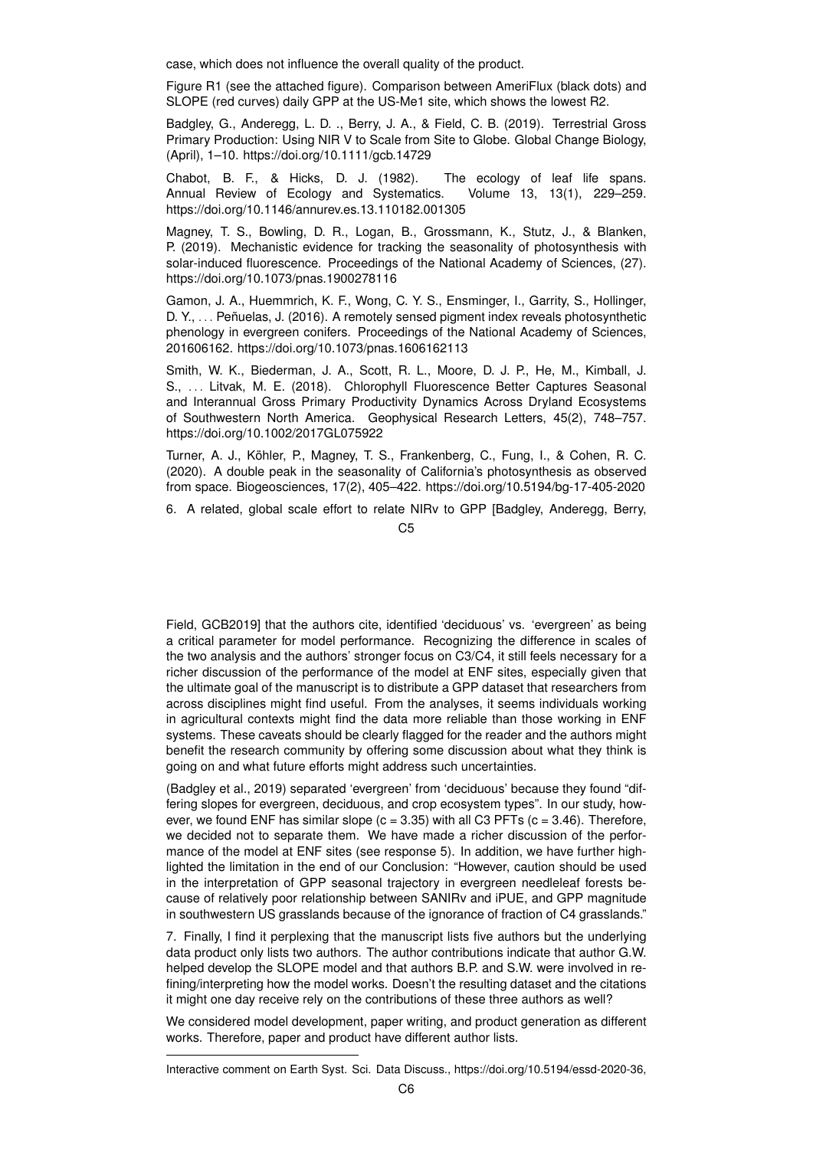case, which does not influence the overall quality of the product.

Figure R1 (see the attached figure). Comparison between AmeriFlux (black dots) and SLOPE (red curves) daily GPP at the US-Me1 site, which shows the lowest R2.

Badgley, G., Anderegg, L. D. ., Berry, J. A., & Field, C. B. (2019). Terrestrial Gross Primary Production: Using NIR V to Scale from Site to Globe. Global Change Biology, (April), 1–10. https://doi.org/10.1111/gcb.14729

Chabot, B. F., & Hicks, D. J. (1982). The ecology of leaf life spans. Annual Review of Ecology and Systematics. Volume 13, 13(1), 229–259. https://doi.org/10.1146/annurev.es.13.110182.001305

Magney, T. S., Bowling, D. R., Logan, B., Grossmann, K., Stutz, J., & Blanken, P. (2019). Mechanistic evidence for tracking the seasonality of photosynthesis with solar-induced fluorescence. Proceedings of the National Academy of Sciences, (27). https://doi.org/10.1073/pnas.1900278116

Gamon, J. A., Huemmrich, K. F., Wong, C. Y. S., Ensminger, I., Garrity, S., Hollinger, D. Y., . . . Peñuelas, J. (2016). A remotely sensed pigment index reveals photosynthetic phenology in evergreen conifers. Proceedings of the National Academy of Sciences, 201606162. https://doi.org/10.1073/pnas.1606162113

Smith, W. K., Biederman, J. A., Scott, R. L., Moore, D. J. P., He, M., Kimball, J. S., . . . Litvak, M. E. (2018). Chlorophyll Fluorescence Better Captures Seasonal and Interannual Gross Primary Productivity Dynamics Across Dryland Ecosystems of Southwestern North America. Geophysical Research Letters, 45(2), 748–757. https://doi.org/10.1002/2017GL075922

Turner, A. J., Köhler, P., Magney, T. S., Frankenberg, C., Fung, I., & Cohen, R. C. (2020). A double peak in the seasonality of California's photosynthesis as observed from space. Biogeosciences, 17(2), 405–422. https://doi.org/10.5194/bg-17-405-2020

6. A related, global scale effort to relate NIRv to GPP [Badgley, Anderegg, Berry,

C5

Field, GCB2019] that the authors cite, identified 'deciduous' vs. 'evergreen' as being a critical parameter for model performance. Recognizing the difference in scales of the two analysis and the authors' stronger focus on C3/C4, it still feels necessary for a richer discussion of the performance of the model at ENF sites, especially given that the ultimate goal of the manuscript is to distribute a GPP dataset that researchers from across disciplines might find useful. From the analyses, it seems individuals working in agricultural contexts might find the data more reliable than those working in ENF systems. These caveats should be clearly flagged for the reader and the authors might benefit the research community by offering some discussion about what they think is going on and what future efforts might address such uncertainties.

(Badgley et al., 2019) separated 'evergreen' from 'deciduous' because they found "differing slopes for evergreen, deciduous, and crop ecosystem types". In our study, however, we found ENF has similar slope  $(c = 3.35)$  with all C3 PFTs  $(c = 3.46)$ . Therefore, we decided not to separate them. We have made a richer discussion of the performance of the model at ENF sites (see response 5). In addition, we have further highlighted the limitation in the end of our Conclusion: "However, caution should be used in the interpretation of GPP seasonal trajectory in evergreen needleleaf forests because of relatively poor relationship between SANIRv and iPUE, and GPP magnitude in southwestern US grasslands because of the ignorance of fraction of C4 grasslands."

7. Finally, I find it perplexing that the manuscript lists five authors but the underlying data product only lists two authors. The author contributions indicate that author G.W. helped develop the SLOPE model and that authors B.P. and S.W. were involved in refining/interpreting how the model works. Doesn't the resulting dataset and the citations it might one day receive rely on the contributions of these three authors as well?

We considered model development, paper writing, and product generation as different works. Therefore, paper and product have different author lists.

Interactive comment on Earth Syst. Sci. Data Discuss., https://doi.org/10.5194/essd-2020-36,